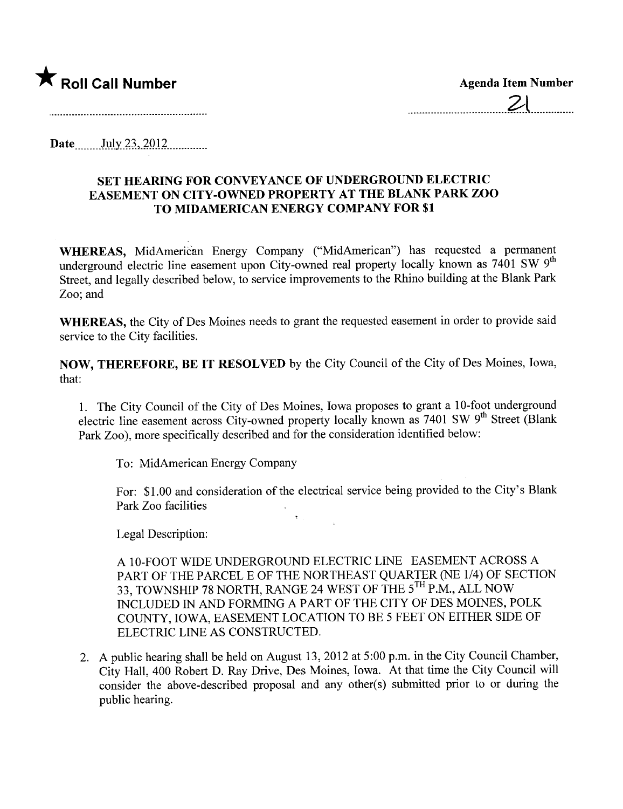

Date  $_{\text{July 23, 2012}}$ 

## SET HEARING FOR CONVEYANCE OF UNDERGROUND ELECTRIC EASEMENT ON CITY -OWNED PROPERTY AT THE BLANK PARK ZOO TO MIDAMERICAN ENERGY COMPANY FOR \$1

WHEREAS, MidAmerican Energy Company ("MidAmerican") has requested a permanent underground electric line easement upon City-owned real property locally known as 7401 SW 9<sup>th</sup> Street, and legally described below, to service improvements to the Rhino building at the Blank Park Zoo; and

WHEREAS, the City of Des Moines needs to grant the requested easement in order to provide said service to the City facilities.

NOW, THEREFORE, BE IT RESOLVED by the City Council of the City of Des Moines, Iowa, that:

1. The City Council of the City of Des Moines, Iowa proposes to grant a 10- foot underground electric line easement across City-owned property locally known as 7401 SW 9<sup>th</sup> Street (Blank Park Zoo), more specifically described and for the consideration identified below:

To: MidAmerican Energy Company

For: \$1.00 and consideration of the electrical service being provided to the City's Blan Park Zoo facilities

Legal Description:

A 10-FOOT WIDE UNDERGROUND ELECTRIC LINE EASEMENT ACROSS A PART OF THE PARCEL E OF THE NORTHEAST QUARTER (NE 1/4) OF SECTION 33, TOWNSHIP 78 NORTH, RANGE 24 WEST OF THE 5TH P.M., ALL NOW INCLUDED IN AND FORMING A PART OF THE CITY OF DES MOINES, POLK COUNTY, IOWA, EASEMENT LOCATION TO BE 5 FEET ON EITHER SIDE OF ELECTRIC LINE AS CONSTRUCTED.

2. A public hearing shall be held on August 13,2012 at 5:00 p.m. in the City Council Chamber, City Hall, 400 Robert D. Ray Drive, Des Moines, Iowa. At that time the City Council wil consider the above-described proposal and any other(s) submitted prior to or during the public hearing.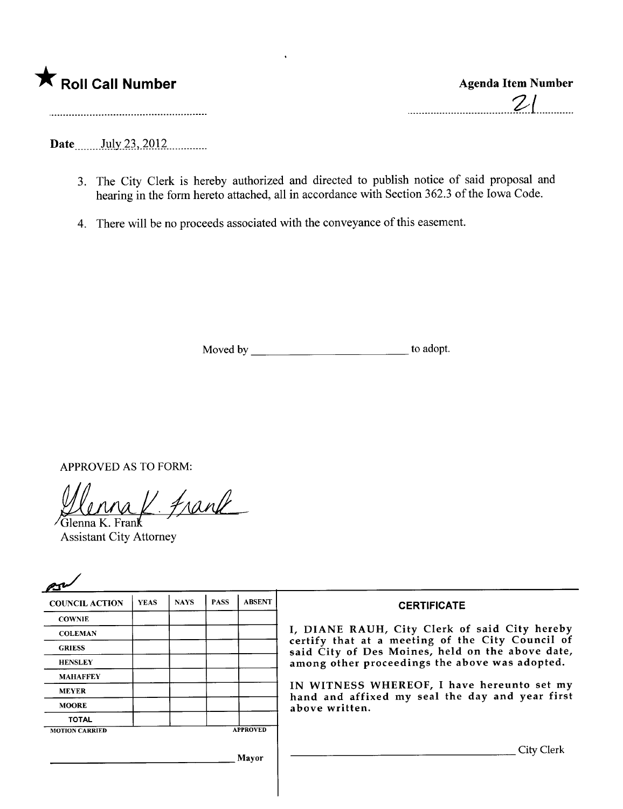|  | Roll Call Number |  |
|--|------------------|--|
|  |                  |  |

Date \_\_\_\_\_ July 23, 2012

- 3. The City Clerk is hereby authorized and directed to publish notice of said proposal and hearing in the form hereto attached, all in accordance with Section 362.3 of the Iowa Code.
- 4. There will be no proceeds associated with the conveyance of this easement.

Moved by to adopt.

APPROVED AS TO FORM:

Vlenna K. Frank

Assistant City Attorney

| <b>COUNCIL ACTION</b> | <b>YEAS</b> | <b>NAYS</b> | <b>PASS</b> | <b>ABSENT</b>   | <b>CERTIFICATE</b>                                                                                                                              |  |  |  |
|-----------------------|-------------|-------------|-------------|-----------------|-------------------------------------------------------------------------------------------------------------------------------------------------|--|--|--|
| <b>COWNIE</b>         |             |             |             |                 |                                                                                                                                                 |  |  |  |
| <b>COLEMAN</b>        |             |             |             |                 | I, DIANE RAUH, City Clerk of said City hereby                                                                                                   |  |  |  |
| <b>GRIESS</b>         |             |             |             |                 | certify that at a meeting of the City Council of<br>said City of Des Moines, held on the above date,                                            |  |  |  |
| <b>HENSLEY</b>        |             |             |             |                 | among other proceedings the above was adopted.<br>IN WITNESS WHEREOF, I have hereunto set my<br>hand and affixed my seal the day and year first |  |  |  |
| <b>MAHAFFEY</b>       |             |             |             |                 |                                                                                                                                                 |  |  |  |
| <b>MEYER</b>          |             |             |             |                 |                                                                                                                                                 |  |  |  |
| <b>MOORE</b>          |             |             |             |                 | above written.                                                                                                                                  |  |  |  |
| <b>TOTAL</b>          |             |             |             |                 |                                                                                                                                                 |  |  |  |
| <b>MOTION CARRIED</b> |             |             |             | <b>APPROVED</b> |                                                                                                                                                 |  |  |  |
|                       |             |             |             | Mavor           | City Clerk                                                                                                                                      |  |  |  |